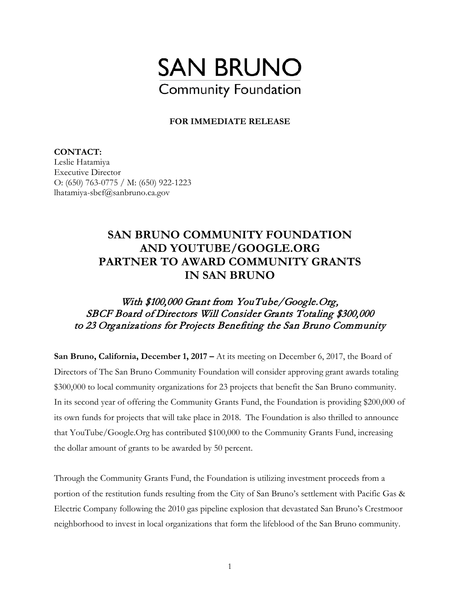

## **FOR IMMEDIATE RELEASE**

**CONTACT:**  Leslie Hatamiya Executive Director O: (650) 763-0775 / M: (650) 922-1223 lhatamiya-sbcf@sanbruno.ca.gov

## **SAN BRUNO COMMUNITY FOUNDATION AND YOUTUBE/GOOGLE.ORG PARTNER TO AWARD COMMUNITY GRANTS IN SAN BRUNO**

## With \$100,000 Grant from YouTube/Google.Org, SBCF Board of Directors Will Consider Grants Totaling \$300,000 to 23 Organizations for Projects Benefiting the San Bruno Community

**San Bruno, California, December 1, 2017 –** At its meeting on December 6, 2017, the Board of Directors of The San Bruno Community Foundation will consider approving grant awards totaling \$300,000 to local community organizations for 23 projects that benefit the San Bruno community. In its second year of offering the Community Grants Fund, the Foundation is providing \$200,000 of its own funds for projects that will take place in 2018. The Foundation is also thrilled to announce that YouTube/Google.Org has contributed \$100,000 to the Community Grants Fund, increasing the dollar amount of grants to be awarded by 50 percent.

Through the Community Grants Fund, the Foundation is utilizing investment proceeds from a portion of the restitution funds resulting from the City of San Bruno's settlement with Pacific Gas & Electric Company following the 2010 gas pipeline explosion that devastated San Bruno's Crestmoor neighborhood to invest in local organizations that form the lifeblood of the San Bruno community.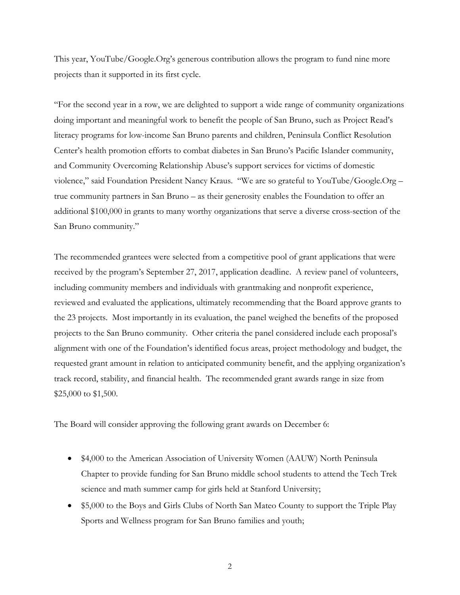This year, YouTube/Google.Org's generous contribution allows the program to fund nine more projects than it supported in its first cycle.

"For the second year in a row, we are delighted to support a wide range of community organizations doing important and meaningful work to benefit the people of San Bruno, such as Project Read's literacy programs for low-income San Bruno parents and children, Peninsula Conflict Resolution Center's health promotion efforts to combat diabetes in San Bruno's Pacific Islander community, and Community Overcoming Relationship Abuse's support services for victims of domestic violence," said Foundation President Nancy Kraus. "We are so grateful to YouTube/Google.Org – true community partners in San Bruno – as their generosity enables the Foundation to offer an additional \$100,000 in grants to many worthy organizations that serve a diverse cross-section of the San Bruno community."

The recommended grantees were selected from a competitive pool of grant applications that were received by the program's September 27, 2017, application deadline. A review panel of volunteers, including community members and individuals with grantmaking and nonprofit experience, reviewed and evaluated the applications, ultimately recommending that the Board approve grants to the 23 projects. Most importantly in its evaluation, the panel weighed the benefits of the proposed projects to the San Bruno community. Other criteria the panel considered include each proposal's alignment with one of the Foundation's identified focus areas, project methodology and budget, the requested grant amount in relation to anticipated community benefit, and the applying organization's track record, stability, and financial health. The recommended grant awards range in size from \$25,000 to \$1,500.

The Board will consider approving the following grant awards on December 6:

- \$4,000 to the American Association of University Women (AAUW) North Peninsula Chapter to provide funding for San Bruno middle school students to attend the Tech Trek science and math summer camp for girls held at Stanford University;
- \$5,000 to the Boys and Girls Clubs of North San Mateo County to support the Triple Play Sports and Wellness program for San Bruno families and youth;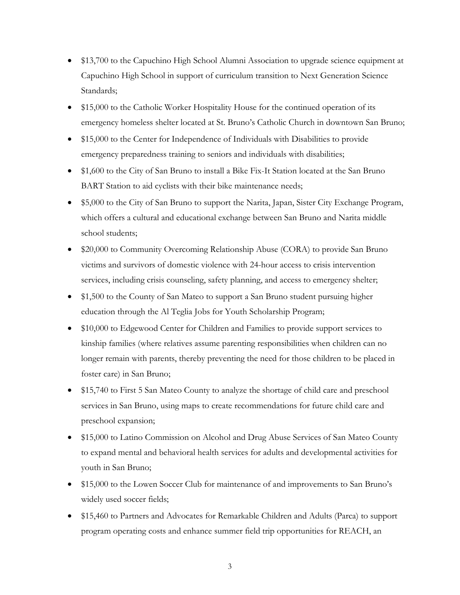- \$13,700 to the Capuchino High School Alumni Association to upgrade science equipment at Capuchino High School in support of curriculum transition to Next Generation Science Standards;
- \$15,000 to the Catholic Worker Hospitality House for the continued operation of its emergency homeless shelter located at St. Bruno's Catholic Church in downtown San Bruno;
- \$15,000 to the Center for Independence of Individuals with Disabilities to provide emergency preparedness training to seniors and individuals with disabilities;
- \$1,600 to the City of San Bruno to install a Bike Fix-It Station located at the San Bruno BART Station to aid cyclists with their bike maintenance needs;
- \$5,000 to the City of San Bruno to support the Narita, Japan, Sister City Exchange Program, which offers a cultural and educational exchange between San Bruno and Narita middle school students;
- \$20,000 to Community Overcoming Relationship Abuse (CORA) to provide San Bruno victims and survivors of domestic violence with 24-hour access to crisis intervention services, including crisis counseling, safety planning, and access to emergency shelter;
- \$1,500 to the County of San Mateo to support a San Bruno student pursuing higher education through the Al Teglia Jobs for Youth Scholarship Program;
- \$10,000 to Edgewood Center for Children and Families to provide support services to kinship families (where relatives assume parenting responsibilities when children can no longer remain with parents, thereby preventing the need for those children to be placed in foster care) in San Bruno;
- \$15,740 to First 5 San Mateo County to analyze the shortage of child care and preschool services in San Bruno, using maps to create recommendations for future child care and preschool expansion;
- \$15,000 to Latino Commission on Alcohol and Drug Abuse Services of San Mateo County to expand mental and behavioral health services for adults and developmental activities for youth in San Bruno;
- \$15,000 to the Lowen Soccer Club for maintenance of and improvements to San Bruno's widely used soccer fields;
- \$15,460 to Partners and Advocates for Remarkable Children and Adults (Parca) to support program operating costs and enhance summer field trip opportunities for REACH, an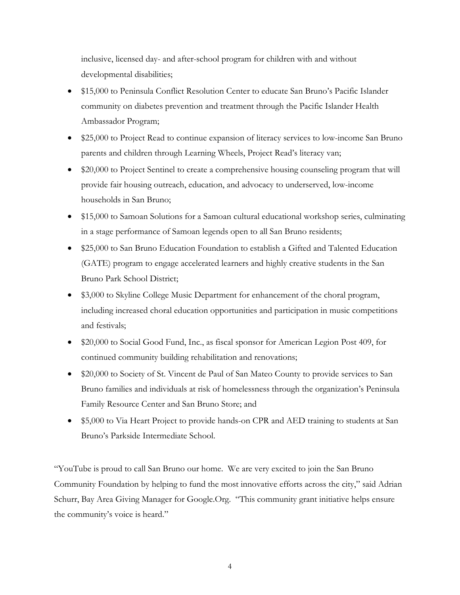inclusive, licensed day- and after-school program for children with and without developmental disabilities;

- \$15,000 to Peninsula Conflict Resolution Center to educate San Bruno's Pacific Islander community on diabetes prevention and treatment through the Pacific Islander Health Ambassador Program;
- \$25,000 to Project Read to continue expansion of literacy services to low-income San Bruno parents and children through Learning Wheels, Project Read's literacy van;
- \$20,000 to Project Sentinel to create a comprehensive housing counseling program that will provide fair housing outreach, education, and advocacy to underserved, low-income households in San Bruno;
- \$15,000 to Samoan Solutions for a Samoan cultural educational workshop series, culminating in a stage performance of Samoan legends open to all San Bruno residents;
- \$25,000 to San Bruno Education Foundation to establish a Gifted and Talented Education (GATE) program to engage accelerated learners and highly creative students in the San Bruno Park School District;
- \$3,000 to Skyline College Music Department for enhancement of the choral program, including increased choral education opportunities and participation in music competitions and festivals;
- \$20,000 to Social Good Fund, Inc., as fiscal sponsor for American Legion Post 409, for continued community building rehabilitation and renovations;
- \$20,000 to Society of St. Vincent de Paul of San Mateo County to provide services to San Bruno families and individuals at risk of homelessness through the organization's Peninsula Family Resource Center and San Bruno Store; and
- \$5,000 to Via Heart Project to provide hands-on CPR and AED training to students at San Bruno's Parkside Intermediate School.

"YouTube is proud to call San Bruno our home. We are very excited to join the San Bruno Community Foundation by helping to fund the most innovative efforts across the city," said Adrian Schurr, Bay Area Giving Manager for Google.Org. "This community grant initiative helps ensure the community's voice is heard."